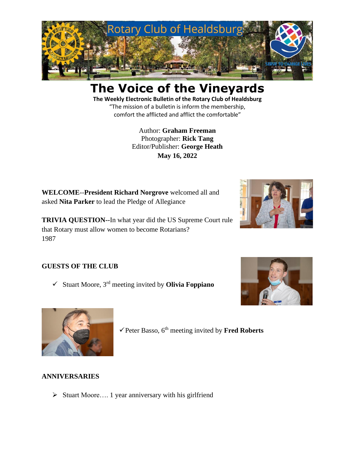

# **The Voice of the Vineyards**

**The Weekly Electronic Bulletin of the Rotary Club of Healdsburg** "The mission of a bulletin is inform the membership, comfort the afflicted and afflict the comfortable"

> Author: **Graham Freeman** Photographer: **Rick Tang** Editor/Publisher: **George Heath May 16, 2022**

**WELCOME**--**President Richard Norgrove** welcomed all and asked **Nita Parker** to lead the Pledge of Allegiance

**TRIVIA QUESTION--**In what year did the US Supreme Court rule that Rotary must allow women to become Rotarians? 1987



# **GUESTS OF THE CLUB**

✓ Stuart Moore, 3 rd meeting invited by **Olivia Foppiano**





✓Peter Basso, 6th meeting invited by **Fred Roberts**

## **ANNIVERSARIES**

➢ Stuart Moore…. 1 year anniversary with his girlfriend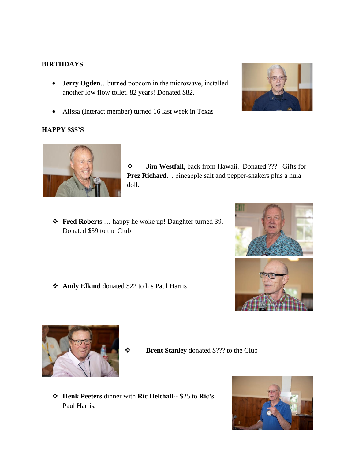## **BIRTHDAYS**

• **Jerry Ogden**…burned popcorn in the microwave, installed another low flow toilet. 82 years! Donated \$82.



• Alissa (Interact member) turned 16 last week in Texas

## **HAPPY \$\$\$'S**



❖ **Jim Westfall**, back from Hawaii. Donated ??? Gifts for **Prez Richard**… pineapple salt and pepper-shakers plus a hula doll.

❖ **Fred Roberts** … happy he woke up! Daughter turned 39. Donated \$39 to the Club







❖ **Brent Stanley** donated \$??? to the Club

❖ **Henk Peeters** dinner with **Ric Helthall--** \$25 to **Ric's** Paul Harris.

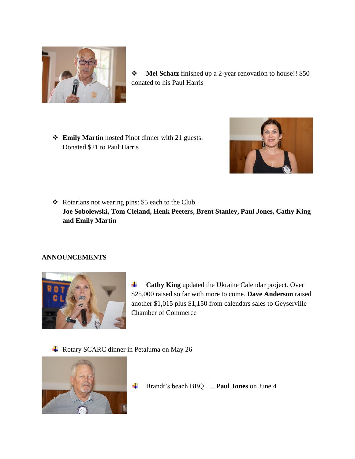

- ❖ **Mel Schatz** finished up a 2-year renovation to house!! \$50 donated to his Paul Harris
- ❖ **Emily Martin** hosted Pinot dinner with 21 guests. Donated \$21 to Paul Harris



❖ Rotarians not wearing pins: \$5 each to the Club **Joe Sobolewski, Tom Cleland, Henk Peeters, Brent Stanley, Paul Jones, Cathy King and Emily Martin**

## **ANNOUNCEMENTS**



**Cathy King** updated the Ukraine Calendar project. Over 4 \$25,000 raised so far with more to come. **Dave Anderson** raised another \$1,015 plus \$1,150 from calendars sales to Geyserville Chamber of Commerce

**↓** Rotary SCARC dinner in Petaluma on May 26



Brandt's beach BBQ …. **Paul Jones** on June 4÷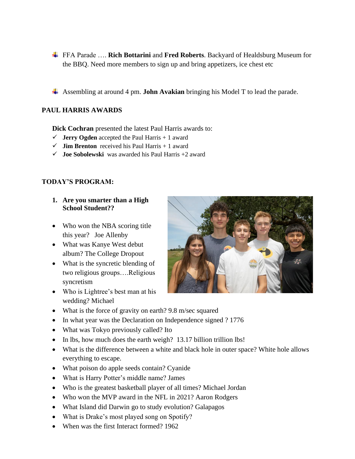- FFA Parade …. **Rich Bottarini** and **Fred Roberts**. Backyard of Healdsburg Museum for the BBQ. Need more members to sign up and bring appetizers, ice chest etc
- Assembling at around 4 pm. **John Avakian** bringing his Model T to lead the parade.

## **PAUL HARRIS AWARDS**

**Dick Cochran** presented the latest Paul Harris awards to:

- $\checkmark$  **Jerry Ogden** accepted the Paul Harris + 1 award
- $\checkmark$  **Jim Brenton** received his Paul Harris + 1 award
- ✓ **Joe Sobolewski** was awarded his Paul Harris +2 award

#### **TODAY'S PROGRAM:**

#### **1. Are you smarter than a High School Student??**

- Who won the NBA scoring title this year? Joe Allenby
- What was Kanye West debut album? The College Dropout
- What is the syncretic blending of two religious groups….Religious syncretism
- Who is Lightree's best man at his wedding? Michael



- What is the force of gravity on earth? 9.8 m/sec squared
- In what year was the Declaration on Independence signed ? 1776
- What was Tokyo previously called? Ito
- In lbs, how much does the earth weigh? 13.17 billion trillion lbs!
- What is the difference between a white and black hole in outer space? White hole allows everything to escape.
- What poison do apple seeds contain? Cyanide
- What is Harry Potter's middle name? James
- Who is the greatest basketball player of all times? Michael Jordan
- Who won the MVP award in the NFL in 2021? Aaron Rodgers
- What Island did Darwin go to study evolution? Galapagos
- What is Drake's most played song on Spotify?
- When was the first Interact formed? 1962